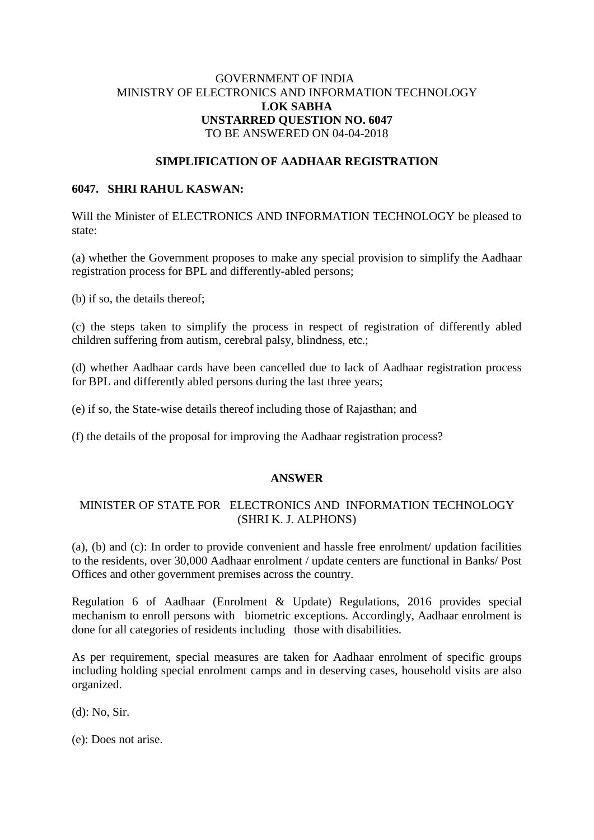# GOVERNMENT OF INDIA MINISTRY OF ELECTRONICS AND INFORMATION TECHNOLOGY **LOK SABHA UNSTARRED QUESTION NO. 6047** TO BE ANSWERED ON 04-04-2018

### **SIMPLIFICATION OF AADHAAR REGISTRATION**

### **6047. SHRI RAHUL KASWAN:**

Will the Minister of ELECTRONICS AND INFORMATION TECHNOLOGY be pleased to state:

(a) whether the Government proposes to make any special provision to simplify the Aadhaar registration process for BPL and differently-abled persons;

(b) if so, the details thereof;

(c) the steps taken to simplify the process in respect of registration of differently abled children suffering from autism, cerebral palsy, blindness, etc.;

(d) whether Aadhaar cards have been cancelled due to lack of Aadhaar registration process for BPL and differently abled persons during the last three years;

(e) if so, the State-wise details thereof including those of Rajasthan; and

(f) the details of the proposal for improving the Aadhaar registration process?

#### **ANSWER**

# MINISTER OF STATE FOR ELECTRONICS AND INFORMATION TECHNOLOGY (SHRI K. J. ALPHONS)

(a), (b) and (c): In order to provide convenient and hassle free enrolment/ updation facilities to the residents, over 30,000 Aadhaar enrolment / update centers are functional in Banks/ Post Offices and other government premises across the country.

Regulation 6 of Aadhaar (Enrolment & Update) Regulations, 2016 provides special mechanism to enroll persons with biometric exceptions. Accordingly, Aadhaar enrolment is done for all categories of residents including those with disabilities.

As per requirement, special measures are taken for Aadhaar enrolment of specific groups including holding special enrolment camps and in deserving cases, household visits are also organized.

(d): No, Sir.

(e): Does not arise.